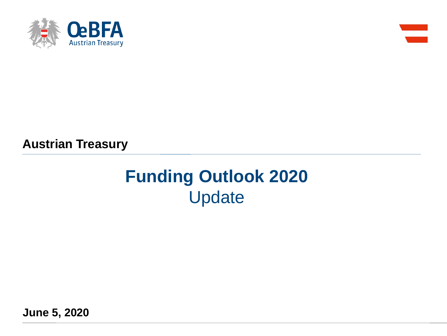



**Austrian Treasury**

# **Funding Outlook 2020** Update

**June 5, 2020**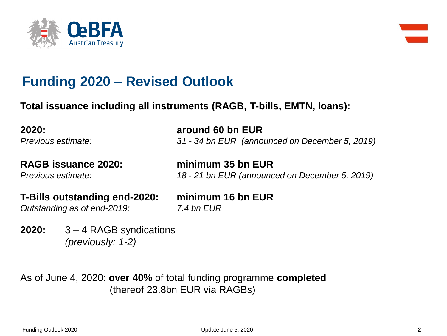



## **Funding 2020 – Revised Outlook**

**Total issuance including all instruments (RAGB, T-bills, EMTN, loans):**

**2020: around 60 bn EUR** *Previous estimate: 31 - 34 bn EUR (announced on December 5, 2019)*

**RAGB issuance 2020: minimum 35 bn EUR**

*Previous estimate: 18 - 21 bn EUR (announced on December 5, 2019)*

**T-Bills outstanding end-2020: minimum 16 bn EUR** *Outstanding as of end-2019: 7.4 bn EUR*

**2020:** 3 – 4 RAGB syndications *(previously: 1-2)*

As of June 4, 2020: **over 40%** of total funding programme **completed**  (thereof 23.8bn EUR via RAGBs)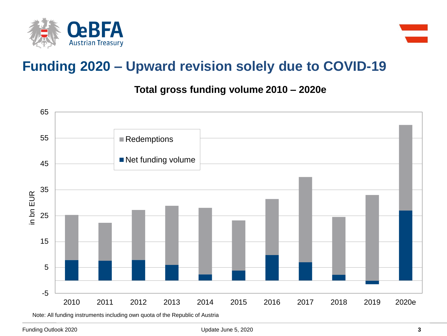



## **Funding 2020 – Upward revision solely due to COVID-19**

**Total gross funding volume 2010 – 2020e**



Note: All funding instruments including own quota of the Republic of Austria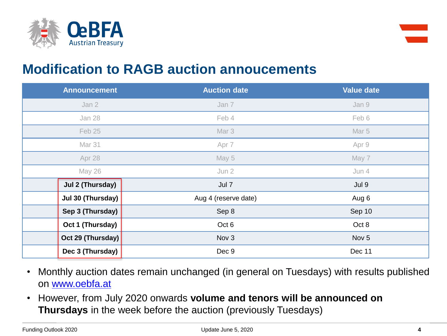



#### **Modification to RAGB auction annoucements**

| <b>Announcement</b> | <b>Auction date</b>  | <b>Value date</b> |
|---------------------|----------------------|-------------------|
| Jan 2               | Jan 7                | Jan 9             |
| Jan 28              | Feb 4                | Feb 6             |
| Feb 25              | Mar 3                | Mar 5             |
| Mar 31              | Apr 7                | Apr 9             |
| Apr 28              | May 5                | May 7             |
| May 26              | Jun 2                | Jun 4             |
| Jul 2 (Thursday)    | Jul 7                | Jul 9             |
| Jul 30 (Thursday)   | Aug 4 (reserve date) | Aug 6             |
| Sep 3 (Thursday)    | Sep 8                | Sep 10            |
| Oct 1 (Thursday)    | Oct 6                | Oct 8             |
| Oct 29 (Thursday)   | Nov 3                | Nov <sub>5</sub>  |
| Dec 3 (Thursday)    | Dec 9                | Dec 11            |

- Monthly auction dates remain unchanged (in general on Tuesdays) with results published on [www.oebfa.at](http://www.oebfa.at/)
- However, from July 2020 onwards **volume and tenors will be announced on Thursdays** in the week before the auction (previously Tuesdays)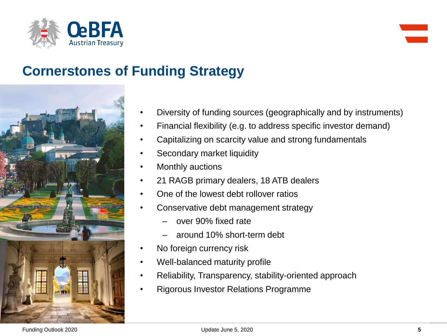



# **Cornerstones of Funding Strategy**



- Diversity of funding sources (geographically and by instruments)
- Financial flexibility (e.g. to address specific investor demand)
- Capitalizing on scarcity value and strong fundamentals
- Secondary market liquidity
- **Monthly auctions**
- 21 RAGB primary dealers, 18 ATB dealers
- One of the lowest debt rollover ratios
- Conservative debt management strategy
	- over 90% fixed rate
	- around 10% short-term debt
- No foreign currency risk
- Well-balanced maturity profile
- Reliability, Transparency, stability-oriented approach
- Rigorous Investor Relations Programme